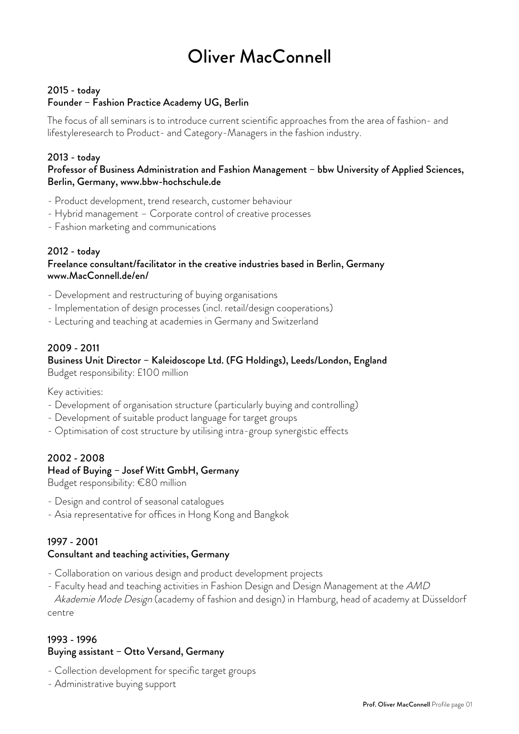# Oliver MacConnell

# 2015 - today Founder – Fashion Practice Academy UG, Berlin

The focus of all seminars is to introduce current scientific approaches from the area of fashion- and lifestyleresearch to Product- and Category-Managers in the fashion industry.

# 2013 - today

#### Professor of Business Administration and Fashion Management – bbw University of Applied Sciences, Berlin, Germany, www.bbw-hochschule.de

- Product development, trend research, customer behaviour
- Hybrid management Corporate control of creative processes
- Fashion marketing and communications

# 2012 - today

#### Freelance consultant/facilitator in the creative industries based in Berlin, Germany www.MacConnell.de/en/

- Development and restructuring of buying organisations
- Implementation of design processes (incl. retail/design cooperations)
- Lecturing and teaching at academies in Germany and Switzerland

# 2009 - 2011

# Business Unit Director – Kaleidoscope Ltd. (FG Holdings), Leeds/London, England

Budget responsibility: £100 million

Key activities:

- Development of organisation structure (particularly buying and controlling)
- Development of suitable product language for target groups
- Optimisation of cost structure by utilising intra-group synergistic effects

# 2002 - 2008

# Head of Buying – Josef Witt GmbH, Germany

Budget responsibility: €80 million

- Design and control of seasonal catalogues
- Asia representative for offices in Hong Kong and Bangkok

# 1997 - 2001

# Consultant and teaching activities, Germany

- Collaboration on various design and product development projects
- Faculty head and teaching activities in Fashion Design and Design Management at the AMD Akademie Mode Design (academy of fashion and design) in Hamburg, head of academy at Düsseldorf centre

# 1993 - 1996 Buying assistant – Otto Versand, Germany

- Collection development for specific target groups
- Administrative buying support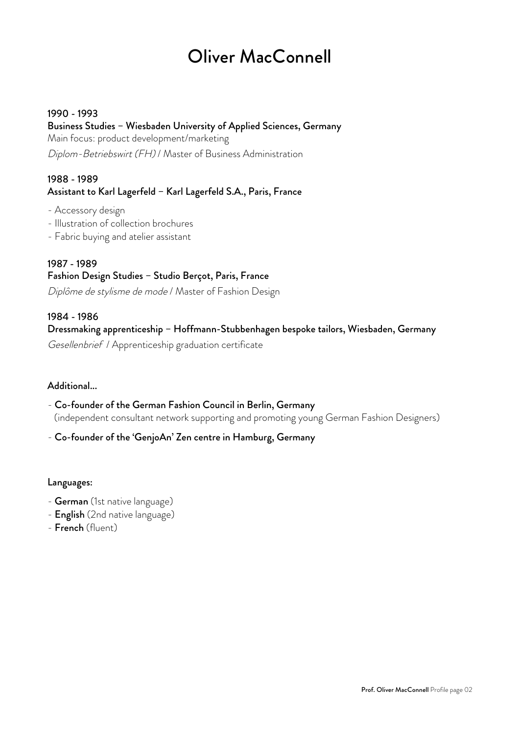# Oliver MacConnell

#### 1990 - 1993

#### Business Studies – Wiesbaden University of Applied Sciences, Germany

Main focus: product development/marketing

Diplom-Betriebswirt (FH) / Master of Business Administration

# 1988 - 1989 Assistant to Karl Lagerfeld – Karl Lagerfeld S.A., Paris, France

- Accessory design

- Illustration of collection brochures
- Fabric buying and atelier assistant

## 1987 - 1989 Fashion Design Studies – Studio Berçot, Paris, France

Diplôme de stylisme de mode / Master of Fashion Design

#### 1984 - 1986

Dressmaking apprenticeship – Hoffmann-Stubbenhagen bespoke tailors, Wiesbaden, Germany Gesellenbrief / Apprenticeship graduation certificate

#### Additional...

- Co-founder of the German Fashion Council in Berlin, Germany (independent consultant network supporting and promoting young German Fashion Designers)

# - Co-founder of the 'GenjoAn' Zen centre in Hamburg, Germany

#### Languages:

- German (1st native language)
- **English** (2nd native language)
- French (fluent)